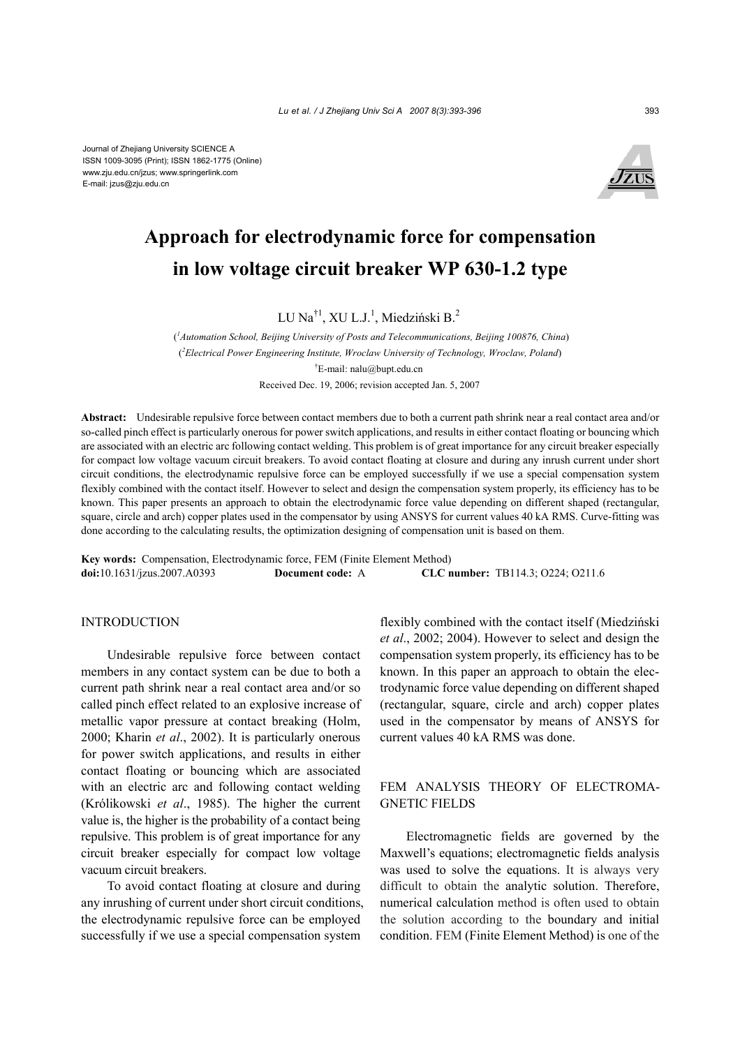

# **Approach for electrodynamic force for compensation in low voltage circuit breaker WP 630-1.2 type**

LU Na $^{\dagger1}$ , XU L.J.<sup>1</sup>, Miedziński B.<sup>2</sup>

 (*1 Automation School, Beijing University of Posts and Telecommunications, Beijing 100876, China*) ( *2 Electrical Power Engineering Institute, Wroclaw University of Technology, Wroclaw, Poland*) † E-mail: nalu@bupt.edu.cn Received Dec. 19, 2006; revision accepted Jan. 5, 2007

**Abstract:** Undesirable repulsive force between contact members due to both a current path shrink near a real contact area and/or so-called pinch effect is particularly onerous for power switch applications, and results in either contact floating or bouncing which are associated with an electric arc following contact welding. This problem is of great importance for any circuit breaker especially for compact low voltage vacuum circuit breakers. To avoid contact floating at closure and during any inrush current under short circuit conditions, the electrodynamic repulsive force can be employed successfully if we use a special compensation system flexibly combined with the contact itself. However to select and design the compensation system properly, its efficiency has to be known. This paper presents an approach to obtain the electrodynamic force value depending on different shaped (rectangular, square, circle and arch) copper plates used in the compensator by using ANSYS for current values 40 kA RMS. Curve-fitting was done according to the calculating results, the optimization designing of compensation unit is based on them.

**Key words:** Compensation, Electrodynamic force, FEM (Finite Element Method) **doi:**10.1631/jzus.2007.A0393 **Document code:** A **CLC number:** TB114.3; O224; O211.6

# **INTRODUCTION**

Undesirable repulsive force between contact members in any contact system can be due to both a current path shrink near a real contact area and/or so called pinch effect related to an explosive increase of metallic vapor pressure at contact breaking (Holm, 2000; Kharin *et al*., 2002). It is particularly onerous for power switch applications, and results in either contact floating or bouncing which are associated with an electric arc and following contact welding (Królikowski *et al*., 1985). The higher the current value is, the higher is the probability of a contact being repulsive. This problem is of great importance for any circuit breaker especially for compact low voltage vacuum circuit breakers.

To avoid contact floating at closure and during any inrushing of current under short circuit conditions, the electrodynamic repulsive force can be employed successfully if we use a special compensation system

flexibly combined with the contact itself (Miedziński *et al*., 2002; 2004). However to select and design the compensation system properly, its efficiency has to be known. In this paper an approach to obtain the electrodynamic force value depending on different shaped (rectangular, square, circle and arch) copper plates used in the compensator by means of ANSYS for current values 40 kA RMS was done.

# FEM ANALYSIS THEORY OF ELECTROMA-GNETIC FIELDS

Electromagnetic fields are governed by the Maxwell's equations; electromagnetic fields analysis was used to solve the equations. It is always very difficult to obtain the analytic solution. Therefore, numerical calculation method is often used to obtain the solution according to the boundary and initial condition. FEM (Finite Element Method) is one of the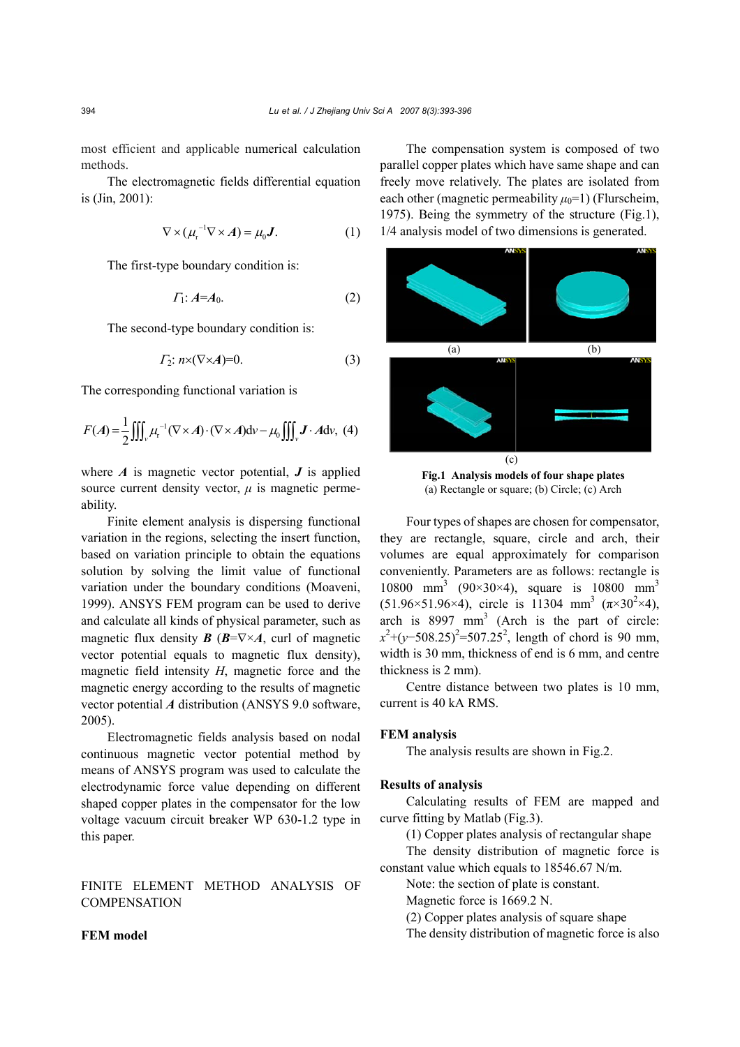most efficient and applicable numerical calculation methods.

The electromagnetic fields differential equation is (Jin, 2001):

$$
\nabla \times (\mu_{\mathbf{r}}^{-1} \nabla \times \mathbf{A}) = \mu_0 \mathbf{J}.
$$
 (1)

The first-type boundary condition is:

$$
\Gamma_1: A = A_0. \tag{2}
$$

The second-type boundary condition is:

$$
\Gamma_2: n \times (\nabla \times A)=0. \tag{3}
$$

The corresponding functional variation is

$$
F(A) = \frac{1}{2} \iiint_{\nu} \mu_{\rm r}^{-1} (\nabla \times A) \cdot (\nabla \times A) {\rm d} \nu - \mu_0 \iiint_{\nu} \mathbf{J} \cdot A {\rm d} \nu, \tag{4}
$$

where  $\vec{A}$  is magnetic vector potential,  $\vec{J}$  is applied source current density vector,  $\mu$  is magnetic permeability.

Finite element analysis is dispersing functional variation in the regions, selecting the insert function, based on variation principle to obtain the equations solution by solving the limit value of functional variation under the boundary conditions (Moaveni, 1999). ANSYS FEM program can be used to derive and calculate all kinds of physical parameter, such as magnetic flux density  $\mathbf{B}$  ( $\mathbf{B}=\nabla\times\mathbf{A}$ , curl of magnetic vector potential equals to magnetic flux density), magnetic field intensity *H*, magnetic force and the magnetic energy according to the results of magnetic vector potential *A* distribution (ANSYS 9.0 software, 2005).

Electromagnetic fields analysis based on nodal continuous magnetic vector potential method by means of ANSYS program was used to calculate the electrodynamic force value depending on different shaped copper plates in the compensator for the low voltage vacuum circuit breaker WP 630-1.2 type in this paper.

FINITE ELEMENT METHOD ANALYSIS OF **COMPENSATION** 

## **FEM model**

The compensation system is composed of two parallel copper plates which have same shape and can freely move relatively. The plates are isolated from each other (magnetic permeability  $\mu_0$ =1) (Flurscheim, 1975). Being the symmetry of the structure (Fig.1), 1/4 analysis model of two dimensions is generated.



**Fig.1 Analysis models of four shape plates**  (a) Rectangle or square; (b) Circle; (c) Arch

Four types of shapes are chosen for compensator, they are rectangle, square, circle and arch, their volumes are equal approximately for comparison conveniently. Parameters are as follows: rectangle is 10800 mm<sup>3</sup> (90×30×4), square is 10800 mm<sup>3</sup>  $(51.96 \times 51.96 \times 4)$ , circle is 11304 mm<sup>3</sup>  $(\pi \times 30^2 \times 4)$ , arch is  $8997 \text{ mm}^3$  (Arch is the part of circle:  $x^2$ +(*y*−508.25)<sup>2</sup>=507.25<sup>2</sup>, length of chord is 90 mm, width is 30 mm, thickness of end is 6 mm, and centre thickness is 2 mm).

Centre distance between two plates is 10 mm, current is 40 kA RMS.

#### **FEM analysis**

The analysis results are shown in Fig.2.

### **Results of analysis**

Calculating results of FEM are mapped and curve fitting by Matlab (Fig.3).

(1) Copper plates analysis of rectangular shape The density distribution of magnetic force is

constant value which equals to 18546.67 N/m.

Note: the section of plate is constant.

Magnetic force is 1669.2 N.

(2) Copper plates analysis of square shape

The density distribution of magnetic force is also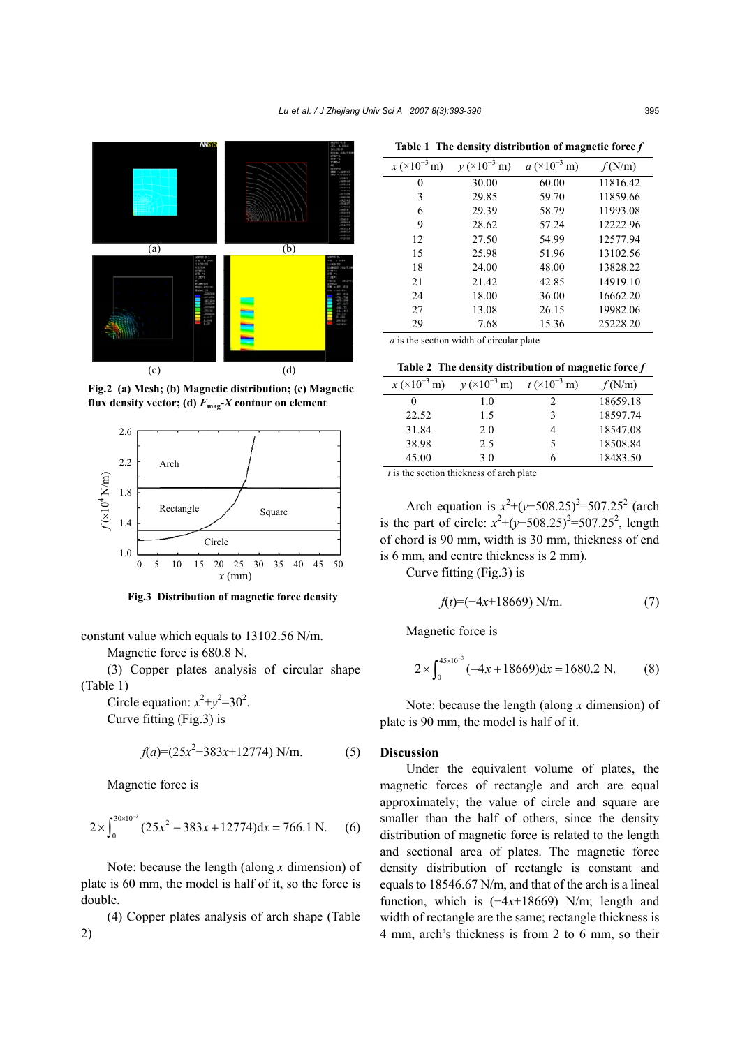

**Fig.2 (a) Mesh; (b) Magnetic distribution; (c) Magnetic flux density vector;** (d)  $F_{\text{mag}}$ - $X$  contour on element



**Fig.3 Distribution of magnetic force density** 

constant value which equals to 13102.56 N/m.

Magnetic force is 680.8 N.

(3) Copper plates analysis of circular shape (Table 1)

Circle equation:  $x^2+y^2=30^2$ . Curve fitting (Fig.3) is

$$
f(a)=(25x^2-383x+12774) \text{ N/m}.
$$
 (5)

Magnetic force is

$$
2 \times \int_0^{30 \times 10^{-3}} (25x^2 - 383x + 12774) dx = 766.1 \text{ N.}
$$
 (6)

Note: because the length (along *x* dimension) of plate is 60 mm, the model is half of it, so the force is double.

(4) Copper plates analysis of arch shape (Table 2)

| Table 1 The density distribution of magnetic force $f$ |  |  |
|--------------------------------------------------------|--|--|
|                                                        |  |  |

| $x \times 10^{-3}$ m) | $y \times 10^{-3}$ m) | $a \times 10^{-3}$ m) | f(N/m)   |
|-----------------------|-----------------------|-----------------------|----------|
| 0                     | 30.00                 | 60.00                 | 11816.42 |
| 3                     | 29.85                 | 59.70                 | 11859.66 |
| 6                     | 29.39                 | 58.79                 | 11993.08 |
| 9                     | 28.62                 | 57.24                 | 12222.96 |
| 12                    | 27.50                 | 54.99                 | 12577.94 |
| 15                    | 25.98                 | 51.96                 | 13102.56 |
| 18                    | 24.00                 | 48.00                 | 13828.22 |
| 21                    | 21.42                 | 42.85                 | 14919.10 |
| 24                    | 18.00                 | 36.00                 | 16662.20 |
| 27                    | 13.08                 | 26.15                 | 19982.06 |
| 29                    | 7.68                  | 15.36                 | 25228.20 |

*a* is the section width of circular plate

**Table 2 The density distribution of magnetic force** *f*

| $x (\times 10^{-3} \text{ m})$ | $y \times 10^{-3}$ m) | $t \times 10^{-3}$ m) | f(N/m)   |
|--------------------------------|-----------------------|-----------------------|----------|
| $_{0}$                         | 1.0                   |                       | 18659.18 |
| 22.52                          | 1.5                   |                       | 18597.74 |
| 31.84                          | 2.0                   |                       | 18547.08 |
| 38.98                          | 2.5                   |                       | 18508.84 |
| 45.00                          | 3.0                   |                       | 18483.50 |

*t* is the section thickness of arch plate

Arch equation is  $x^2 + (y-508.25)^2 = 507.25^2$  (arch is the part of circle:  $x^2 + (y-508.25)^2 = 507.25^2$ , length of chord is 90 mm, width is 30 mm, thickness of end is 6 mm, and centre thickness is 2 mm).

Curve fitting (Fig.3) is

$$
f(t) = (-4x + 18669) \text{ N/m}.
$$
 (7)

Magnetic force is

$$
2 \times \int_0^{45 \times 10^{-3}} (-4x + 18669) dx = 1680.2 \text{ N.}
$$
 (8)

Note: because the length (along *x* dimension) of plate is 90 mm, the model is half of it.

#### **Discussion**

Under the equivalent volume of plates, the magnetic forces of rectangle and arch are equal approximately; the value of circle and square are smaller than the half of others, since the density distribution of magnetic force is related to the length and sectional area of plates. The magnetic force density distribution of rectangle is constant and equals to 18546.67 N/m, and that of the arch is a lineal function, which is (−4*x*+18669) N/m; length and width of rectangle are the same; rectangle thickness is 4 mm, arch's thickness is from 2 to 6 mm, so their